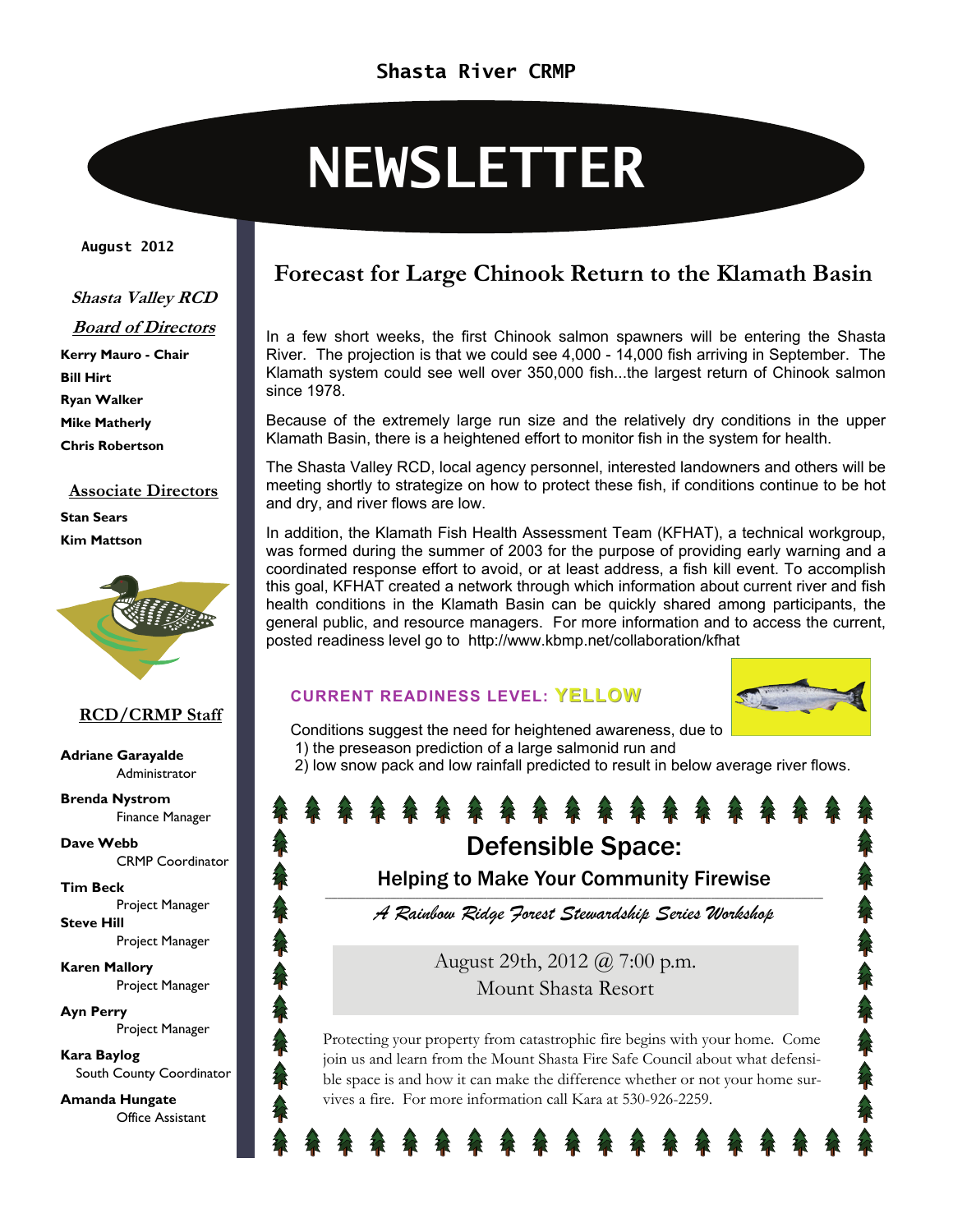# **NEWSLETTER**

#### **August 2012**

#### **Shasta Valley RCD**

**Board of Directors Kerry Mauro - Chair** 

**Bill Hirt Ryan Walker Mike Matherly Chris Robertson** 

#### **Associate Directors Stan Sears Kim Mattson**



#### **RCD/CRMP Staff**

**Adriane Garayalde**  Administrator

**Brenda Nystrom**  Finance Manager

**Dave Webb**  CRMP Coordinator

**Tim Beck**  Project Manager **Steve Hill**  Project Manager

**Karen Mallory**  Project Manager

**Ayn Perry**  Project Manager

**Kara Baylog**  South County Coordinator

**Amanda Hungate**  Office Assistant

### **Forecast for Large Chinook Return to the Klamath Basin**

In a few short weeks, the first Chinook salmon spawners will be entering the Shasta River. The projection is that we could see 4,000 - 14,000 fish arriving in September. The Klamath system could see well over 350,000 fish...the largest return of Chinook salmon since 1978.

Because of the extremely large run size and the relatively dry conditions in the upper Klamath Basin, there is a heightened effort to monitor fish in the system for health.

The Shasta Valley RCD, local agency personnel, interested landowners and others will be meeting shortly to strategize on how to protect these fish, if conditions continue to be hot and dry, and river flows are low.

In addition, the Klamath Fish Health Assessment Team (KFHAT), a technical workgroup, was formed during the summer of 2003 for the purpose of providing early warning and a coordinated response effort to avoid, or at least address, a fish kill event. To accomplish this goal, KFHAT created a network through which information about current river and fish health conditions in the Klamath Basin can be quickly shared among participants, the general public, and resource managers. For more information and to access the current, posted readiness level go to http://www.kbmp.net/collaboration/kfhat

#### **CURRENT READINESS LEVEL: YELLOW**



Conditions suggest the need for heightened awareness, due to 1) the preseason prediction of a large salmonid run and

2) low snow pack and low rainfall predicted to result in below average river flows.

## Defensible Space:

Helping to Make Your Community Firewise \_\_\_\_\_\_\_\_\_\_\_\_\_\_\_\_\_\_\_\_\_\_\_\_\_\_\_\_\_\_\_\_\_\_\_\_\_\_\_\_\_\_\_\_\_\_\_\_\_\_\_\_\_\_\_\_\_\_\_\_\_\_\_\_\_\_\_\_\_\_\_\_\_\_\_\_\_\_\_\_\_\_\_\_\_\_\_\_\_\_\_\_\_\_\_\_\_\_\_\_\_\_\_\_\_\_\_\_\_\_\_\_\_\_\_\_\_\_\_\_\_\_\_\_\_\_\_\_\_\_\_\_\_\_\_\_\_\_\_\_\_\_\_\_\_\_\_\_\_\_\_\_\_\_\_\_\_\_\_\_

*A Rainbow Ridge Forest Stewardship Series Workshop* 

August 29th, 2012 @ 7:00 p.m. Mount Shasta Resort

Protecting your property from catastrophic fire begins with your home. Come join us and learn from the Mount Shasta Fire Safe Council about what defensible space is and how it can make the difference whether or not your home survives a fire. For more information call Kara at 530-926-2259.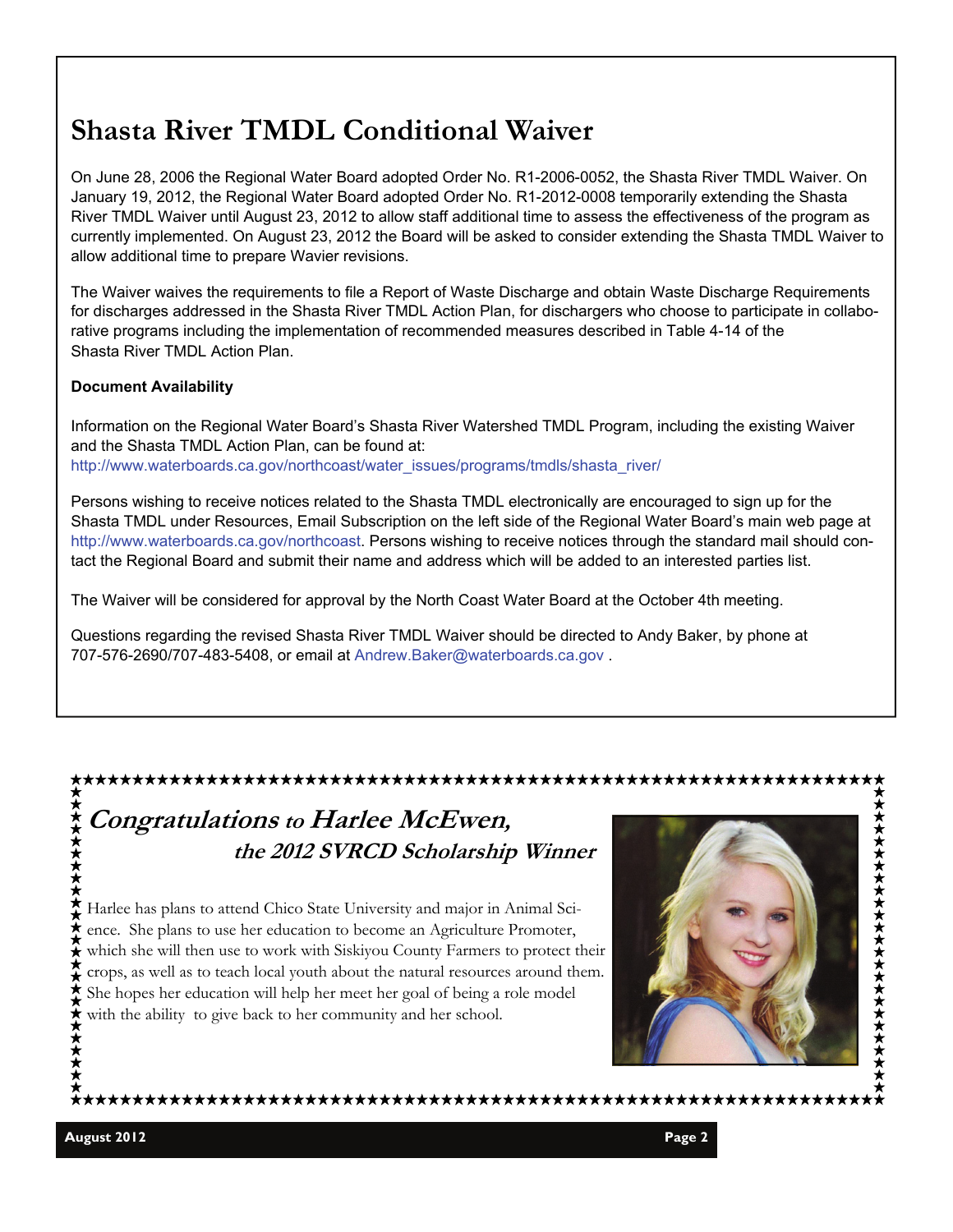## **Shasta River TMDL Conditional Waiver**

On June 28, 2006 the Regional Water Board adopted Order No. R1-2006-0052, the Shasta River TMDL Waiver. On January 19, 2012, the Regional Water Board adopted Order No. R1-2012-0008 temporarily extending the Shasta River TMDL Waiver until August 23, 2012 to allow staff additional time to assess the effectiveness of the program as currently implemented. On August 23, 2012 the Board will be asked to consider extending the Shasta TMDL Waiver to allow additional time to prepare Wavier revisions.

The Waiver waives the requirements to file a Report of Waste Discharge and obtain Waste Discharge Requirements for discharges addressed in the Shasta River TMDL Action Plan, for dischargers who choose to participate in collaborative programs including the implementation of recommended measures described in Table 4-14 of the Shasta River TMDL Action Plan.

#### **Document Availability**

Information on the Regional Water Board's Shasta River Watershed TMDL Program, including the existing Waiver and the Shasta TMDL Action Plan, can be found at: http://www.waterboards.ca.gov/northcoast/water\_issues/programs/tmdls/shasta\_river/

Persons wishing to receive notices related to the Shasta TMDL electronically are encouraged to sign up for the Shasta TMDL under Resources, Email Subscription on the left side of the Regional Water Board's main web page at http://www.waterboards.ca.gov/northcoast. Persons wishing to receive notices through the standard mail should contact the Regional Board and submit their name and address which will be added to an interested parties list.

The Waiver will be considered for approval by the North Coast Water Board at the October 4th meeting.

Questions regarding the revised Shasta River TMDL Waiver should be directed to Andy Baker, by phone at 707-576-2690/707-483-5408, or email at Andrew.Baker@waterboards.ca.gov .



**★★★★★★**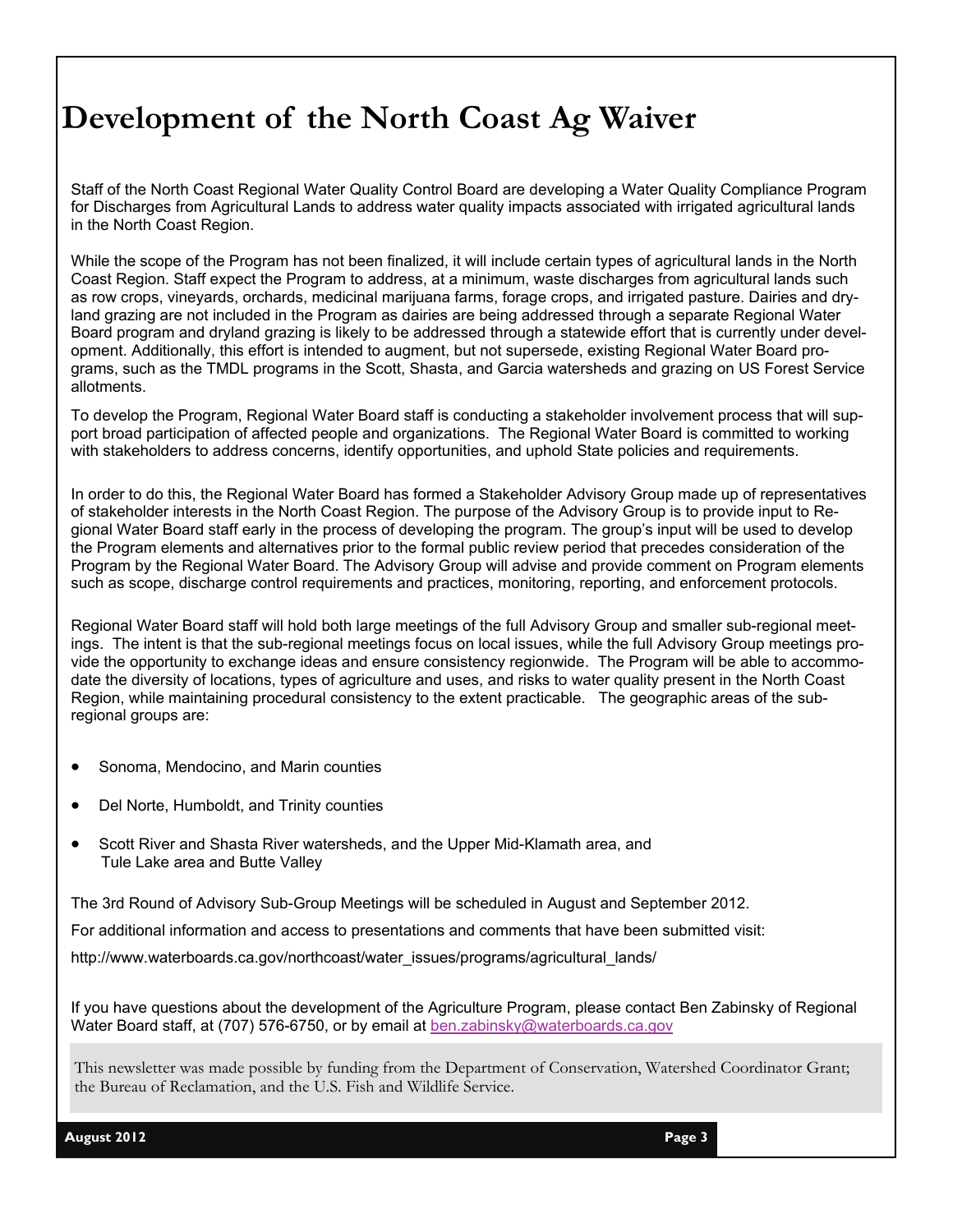## **Development of the North Coast Ag Waiver**

Staff of the North Coast Regional Water Quality Control Board are developing a Water Quality Compliance Program for Discharges from Agricultural Lands to address water quality impacts associated with irrigated agricultural lands in the North Coast Region.

While the scope of the Program has not been finalized, it will include certain types of agricultural lands in the North Coast Region. Staff expect the Program to address, at a minimum, waste discharges from agricultural lands such as row crops, vineyards, orchards, medicinal marijuana farms, forage crops, and irrigated pasture. Dairies and dryland grazing are not included in the Program as dairies are being addressed through a separate Regional Water Board program and dryland grazing is likely to be addressed through a statewide effort that is currently under development. Additionally, this effort is intended to augment, but not supersede, existing Regional Water Board programs, such as the TMDL programs in the Scott, Shasta, and Garcia watersheds and grazing on US Forest Service allotments.

To develop the Program, Regional Water Board staff is conducting a stakeholder involvement process that will support broad participation of affected people and organizations. The Regional Water Board is committed to working with stakeholders to address concerns, identify opportunities, and uphold State policies and requirements.

In order to do this, the Regional Water Board has formed a Stakeholder Advisory Group made up of representatives of stakeholder interests in the North Coast Region. The purpose of the Advisory Group is to provide input to Regional Water Board staff early in the process of developing the program. The group's input will be used to develop the Program elements and alternatives prior to the formal public review period that precedes consideration of the Program by the Regional Water Board. The Advisory Group will advise and provide comment on Program elements such as scope, discharge control requirements and practices, monitoring, reporting, and enforcement protocols.

Regional Water Board staff will hold both large meetings of the full Advisory Group and smaller sub-regional meetings. The intent is that the sub-regional meetings focus on local issues, while the full Advisory Group meetings provide the opportunity to exchange ideas and ensure consistency regionwide. The Program will be able to accommodate the diversity of locations, types of agriculture and uses, and risks to water quality present in the North Coast Region, while maintaining procedural consistency to the extent practicable. The geographic areas of the subregional groups are:

- Sonoma, Mendocino, and Marin counties
- Del Norte, Humboldt, and Trinity counties
- Scott River and Shasta River watersheds, and the Upper Mid-Klamath area, and Tule Lake area and Butte Valley

The 3rd Round of Advisory Sub-Group Meetings will be scheduled in August and September 2012.

For additional information and access to presentations and comments that have been submitted visit:

http://www.waterboards.ca.gov/northcoast/water\_issues/programs/agricultural\_lands/

If you have questions about the development of the Agriculture Program, please contact Ben Zabinsky of Regional Water Board staff, at (707) 576-6750, or by email at [ben.zabinsky@waterboards.ca.gov](mailto:ben.zabinsky@waterboards.ca.gov)

This newsletter was made possible by funding from the Department of Conservation, Watershed Coordinator Grant; the Bureau of Reclamation, and the U.S. Fish and Wildlife Service.

**August 2012 Page 3**